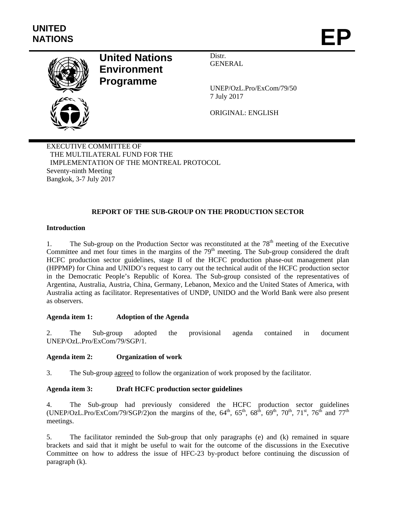

# **United Nations Environment Programme**

Distr. GENERAL

UNEP/OzL.Pro/ExCom/79/50 7 July 2017

ORIGINAL: ENGLISH

EXECUTIVE COMMITTEE OF THE MULTILATERAL FUND FOR THE IMPLEMENTATION OF THE MONTREAL PROTOCOL Seventy-ninth Meeting Bangkok, 3-7 July 2017

### **REPORT OF THE SUB-GROUP ON THE PRODUCTION SECTOR**

#### **Introduction**

1. The Sub-group on the Production Sector was reconstituted at the 78<sup>th</sup> meeting of the Executive Committee and met four times in the margins of the  $79<sup>th</sup>$  meeting. The Sub-group considered the draft HCFC production sector guidelines, stage II of the HCFC production phase-out management plan (HPPMP) for China and UNIDO's request to carry out the technical audit of the HCFC production sector in the Democratic People's Republic of Korea. The Sub-group consisted of the representatives of Argentina, Australia, Austria, China, Germany, Lebanon, Mexico and the United States of America, with Australia acting as facilitator. Representatives of UNDP, UNIDO and the World Bank were also present as observers.

#### **Agenda item 1: Adoption of the Agenda**

2. The Sub-group adopted the provisional agenda contained in document UNEP/OzL.Pro/ExCom/79/SGP/1.

#### **Agenda item 2: Organization of work**

3. The Sub-group agreed to follow the organization of work proposed by the facilitator.

#### **Agenda item 3: Draft HCFC production sector guidelines**

4. The Sub-group had previously considered the HCFC production sector guidelines (UNEP/OzL.Pro/ExCom/79/SGP/2)on the margins of the,  $64^{\text{th}}$ ,  $65^{\text{th}}$ ,  $68^{\text{th}}$ ,  $69^{\text{th}}$ ,  $70^{\text{th}}$ ,  $71^{\text{st}}$ ,  $76^{\text{th}}$  and  $77^{\text{th}}$ meetings.

5. The facilitator reminded the Sub-group that only paragraphs (e) and (k) remained in square brackets and said that it might be useful to wait for the outcome of the discussions in the Executive Committee on how to address the issue of HFC-23 by-product before continuing the discussion of paragraph (k).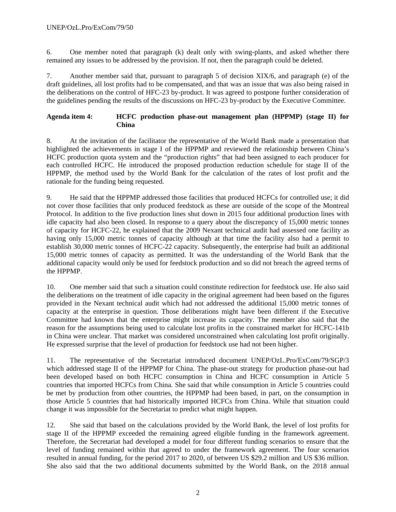6. One member noted that paragraph (k) dealt only with swing-plants, and asked whether there remained any issues to be addressed by the provision. If not, then the paragraph could be deleted.

7. Another member said that, pursuant to paragraph 5 of decision XIX/6, and paragraph (e) of the draft guidelines, all lost profits had to be compensated, and that was an issue that was also being raised in the deliberations on the control of HFC-23 by-product. It was agreed to postpone further consideration of the guidelines pending the results of the discussions on HFC-23 by-product by the Executive Committee.

#### **Agenda item 4: HCFC production phase-out management plan (HPPMP) (stage II) for China**

8. At the invitation of the facilitator the representative of the World Bank made a presentation that highlighted the achievements in stage I of the HPPMP and reviewed the relationship between China's HCFC production quota system and the "production rights" that had been assigned to each producer for each controlled HCFC. He introduced the proposed production reduction schedule for stage II of the HPPMP, the method used by the World Bank for the calculation of the rates of lost profit and the rationale for the funding being requested.

9. He said that the HPPMP addressed those facilities that produced HCFCs for controlled use; it did not cover those facilities that only produced feedstock as these are outside of the scope of the Montreal Protocol. In addition to the five production lines shut down in 2015 four additional production lines with idle capacity had also been closed. In response to a query about the discrepancy of 15,000 metric tonnes of capacity for HCFC-22, he explained that the 2009 Nexant technical audit had assessed one facility as having only 15,000 metric tonnes of capacity although at that time the facility also had a permit to establish 30,000 metric tonnes of HCFC-22 capacity. Subsequently, the enterprise had built an additional 15,000 metric tonnes of capacity as permitted. It was the understanding of the World Bank that the additional capacity would only be used for feedstock production and so did not breach the agreed terms of the HPPMP.

10. One member said that such a situation could constitute redirection for feedstock use. He also said the deliberations on the treatment of idle capacity in the original agreement had been based on the figures provided in the Nexant technical audit which had not addressed the additional 15,000 metric tonnes of capacity at the enterprise in question. Those deliberations might have been different if the Executive Committee had known that the enterprise might increase its capacity. The member also said that the reason for the assumptions being used to calculate lost profits in the constrained market for HCFC-141b in China were unclear. That market was considered unconstrained when calculating lost profit originally. He expressed surprise that the level of production for feedstock use had not been higher.

11. The representative of the Secretariat introduced document UNEP/OzL.Pro/ExCom/79/SGP/3 which addressed stage II of the HPPMP for China. The phase-out strategy for production phase-out had been developed based on both HCFC consumption in China and HCFC consumption in Article 5 countries that imported HCFCs from China. She said that while consumption in Article 5 countries could be met by production from other countries, the HPPMP had been based, in part, on the consumption in those Article 5 countries that had historically imported HCFCs from China. While that situation could change it was impossible for the Secretariat to predict what might happen.

12. She said that based on the calculations provided by the World Bank, the level of lost profits for stage II of the HPPMP exceeded the remaining agreed eligible funding in the framework agreement. Therefore, the Secretariat had developed a model for four different funding scenarios to ensure that the level of funding remained within that agreed to under the framework agreement. The four scenarios resulted in annual funding, for the period 2017 to 2020, of between US \$29.2 million and US \$36 million. She also said that the two additional documents submitted by the World Bank, on the 2018 annual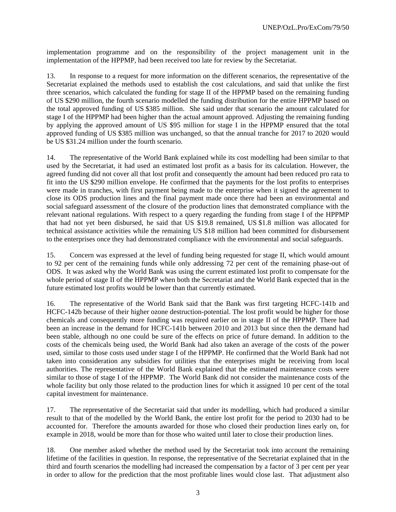implementation programme and on the responsibility of the project management unit in the implementation of the HPPMP, had been received too late for review by the Secretariat.

13. In response to a request for more information on the different scenarios, the representative of the Secretariat explained the methods used to establish the cost calculations, and said that unlike the first three scenarios, which calculated the funding for stage II of the HPPMP based on the remaining funding of US \$290 million, the fourth scenario modelled the funding distribution for the entire HPPMP based on the total approved funding of US \$385 million. She said under that scenario the amount calculated for stage I of the HPPMP had been higher than the actual amount approved. Adjusting the remaining funding by applying the approved amount of US \$95 million for stage I in the HPPMP ensured that the total approved funding of US \$385 million was unchanged, so that the annual tranche for 2017 to 2020 would be US \$31.24 million under the fourth scenario.

14. The representative of the World Bank explained while its cost modelling had been similar to that used by the Secretariat, it had used an estimated lost profit as a basis for its calculation. However, the agreed funding did not cover all that lost profit and consequently the amount had been reduced pro rata to fit into the US \$290 million envelope. He confirmed that the payments for the lost profits to enterprises were made in tranches, with first payment being made to the enterprise when it signed the agreement to close its ODS production lines and the final payment made once there had been an environmental and social safeguard assessment of the closure of the production lines that demonstrated compliance with the relevant national regulations. With respect to a query regarding the funding from stage I of the HPPMP that had not yet been disbursed, he said that US \$19.8 remained, US \$1.8 million was allocated for technical assistance activities while the remaining US \$18 million had been committed for disbursement to the enterprises once they had demonstrated compliance with the environmental and social safeguards.

15. Concern was expressed at the level of funding being requested for stage II, which would amount to 92 per cent of the remaining funds while only addressing 72 per cent of the remaining phase-out of ODS. It was asked why the World Bank was using the current estimated lost profit to compensate for the whole period of stage II of the HPPMP when both the Secretariat and the World Bank expected that in the future estimated lost profits would be lower than that currently estimated.

16. The representative of the World Bank said that the Bank was first targeting HCFC-141b and HCFC-142b because of their higher ozone destruction-potential. The lost profit would be higher for those chemicals and consequently more funding was required earlier on in stage II of the HPPMP. There had been an increase in the demand for HCFC-141b between 2010 and 2013 but since then the demand had been stable, although no one could be sure of the effects on price of future demand. In addition to the costs of the chemicals being used, the World Bank had also taken an average of the costs of the power used, similar to those costs used under stage I of the HPPMP. He confirmed that the World Bank had not taken into consideration any subsidies for utilities that the enterprises might be receiving from local authorities. The representative of the World Bank explained that the estimated maintenance costs were similar to those of stage I of the HPPMP. The World Bank did not consider the maintenance costs of the whole facility but only those related to the production lines for which it assigned 10 per cent of the total capital investment for maintenance.

17. The representative of the Secretariat said that under its modelling, which had produced a similar result to that of the modelled by the World Bank, the entire lost profit for the period to 2030 had to be accounted for. Therefore the amounts awarded for those who closed their production lines early on, for example in 2018, would be more than for those who waited until later to close their production lines.

18. One member asked whether the method used by the Secretariat took into account the remaining lifetime of the facilities in question. In response, the representative of the Secretariat explained that in the third and fourth scenarios the modelling had increased the compensation by a factor of 3 per cent per year in order to allow for the prediction that the most profitable lines would close last. That adjustment also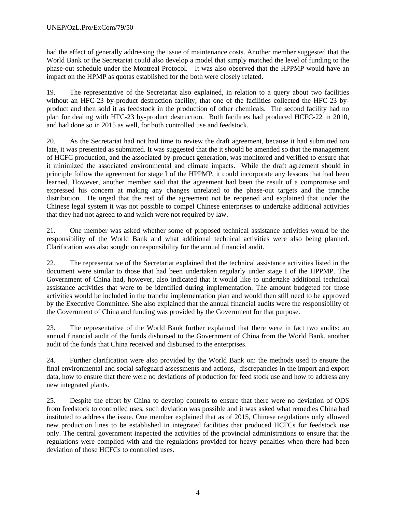had the effect of generally addressing the issue of maintenance costs. Another member suggested that the World Bank or the Secretariat could also develop a model that simply matched the level of funding to the phase-out schedule under the Montreal Protocol. It was also observed that the HPPMP would have an impact on the HPMP as quotas established for the both were closely related.

19. The representative of the Secretariat also explained, in relation to a query about two facilities without an HFC-23 by-product destruction facility, that one of the facilities collected the HFC-23 byproduct and then sold it as feedstock in the production of other chemicals. The second facility had no plan for dealing with HFC-23 by-product destruction. Both facilities had produced HCFC-22 in 2010, and had done so in 2015 as well, for both controlled use and feedstock.

20. As the Secretariat had not had time to review the draft agreement, because it had submitted too late, it was presented as submitted. It was suggested that the it should be amended so that the management of HCFC production, and the associated by-product generation, was monitored and verified to ensure that it minimized the associated environmental and climate impacts. While the draft agreement should in principle follow the agreement for stage I of the HPPMP, it could incorporate any lessons that had been learned. However, another member said that the agreement had been the result of a compromise and expressed his concern at making any changes unrelated to the phase-out targets and the tranche distribution. He urged that the rest of the agreement not be reopened and explained that under the Chinese legal system it was not possible to compel Chinese enterprises to undertake additional activities that they had not agreed to and which were not required by law.

21. One member was asked whether some of proposed technical assistance activities would be the responsibility of the World Bank and what additional technical activities were also being planned. Clarification was also sought on responsibility for the annual financial audit.

22. The representative of the Secretariat explained that the technical assistance activities listed in the document were similar to those that had been undertaken regularly under stage I of the HPPMP. The Government of China had, however, also indicated that it would like to undertake additional technical assistance activities that were to be identified during implementation. The amount budgeted for those activities would be included in the tranche implementation plan and would then still need to be approved by the Executive Committee. She also explained that the annual financial audits were the responsibility of the Government of China and funding was provided by the Government for that purpose.

23. The representative of the World Bank further explained that there were in fact two audits: an annual financial audit of the funds disbursed to the Government of China from the World Bank, another audit of the funds that China received and disbursed to the enterprises.

24. Further clarification were also provided by the World Bank on: the methods used to ensure the final environmental and social safeguard assessments and actions, discrepancies in the import and export data, how to ensure that there were no deviations of production for feed stock use and how to address any new integrated plants.

25. Despite the effort by China to develop controls to ensure that there were no deviation of ODS from feedstock to controlled uses, such deviation was possible and it was asked what remedies China had instituted to address the issue. One member explained that as of 2015, Chinese regulations only allowed new production lines to be established in integrated facilities that produced HCFCs for feedstock use only. The central government inspected the activities of the provincial administrations to ensure that the regulations were complied with and the regulations provided for heavy penalties when there had been deviation of those HCFCs to controlled uses.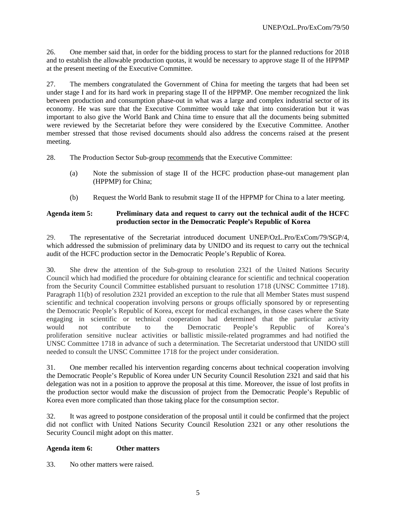26. One member said that, in order for the bidding process to start for the planned reductions for 2018 and to establish the allowable production quotas, it would be necessary to approve stage II of the HPPMP at the present meeting of the Executive Committee.

27. The members congratulated the Government of China for meeting the targets that had been set under stage I and for its hard work in preparing stage II of the HPPMP. One member recognized the link between production and consumption phase-out in what was a large and complex industrial sector of its economy. He was sure that the Executive Committee would take that into consideration but it was important to also give the World Bank and China time to ensure that all the documents being submitted were reviewed by the Secretariat before they were considered by the Executive Committee. Another member stressed that those revised documents should also address the concerns raised at the present meeting.

28. The Production Sector Sub-group recommends that the Executive Committee:

- (a) Note the submission of stage II of the HCFC production phase-out management plan (HPPMP) for China;
- (b) Request the World Bank to resubmit stage II of the HPPMP for China to a later meeting.

#### **Agenda item 5: Preliminary data and request to carry out the technical audit of the HCFC production sector in the Democratic People's Republic of Korea**

29. The representative of the Secretariat introduced document UNEP/OzL.Pro/ExCom/79/SGP/4, which addressed the submission of preliminary data by UNIDO and its request to carry out the technical audit of the HCFC production sector in the Democratic People's Republic of Korea.

30. She drew the attention of the Sub-group to resolution 2321 of the United Nations Security Council which had modified the procedure for obtaining clearance for scientific and technical cooperation from the Security Council Committee established pursuant to resolution 1718 (UNSC Committee 1718). Paragraph 11(b) of resolution 2321 provided an exception to the rule that all Member States must suspend scientific and technical cooperation involving persons or groups officially sponsored by or representing the Democratic People's Republic of Korea, except for medical exchanges, in those cases where the State engaging in scientific or technical cooperation had determined that the particular activity would not contribute to the Democratic People's Republic of Korea's proliferation sensitive nuclear activities or ballistic missile-related programmes and had notified the UNSC Committee 1718 in advance of such a determination. The Secretariat understood that UNIDO still needed to consult the UNSC Committee 1718 for the project under consideration.

31. One member recalled his intervention regarding concerns about technical cooperation involving the Democratic People's Republic of Korea under UN Security Council Resolution 2321 and said that his delegation was not in a position to approve the proposal at this time. Moreover, the issue of lost profits in the production sector would make the discussion of project from the Democratic People's Republic of Korea even more complicated than those taking place for the consumption sector.

32. It was agreed to postpone consideration of the proposal until it could be confirmed that the project did not conflict with United Nations Security Council Resolution 2321 or any other resolutions the Security Council might adopt on this matter.

#### **Agenda item 6: Other matters**

33. No other matters were raised.